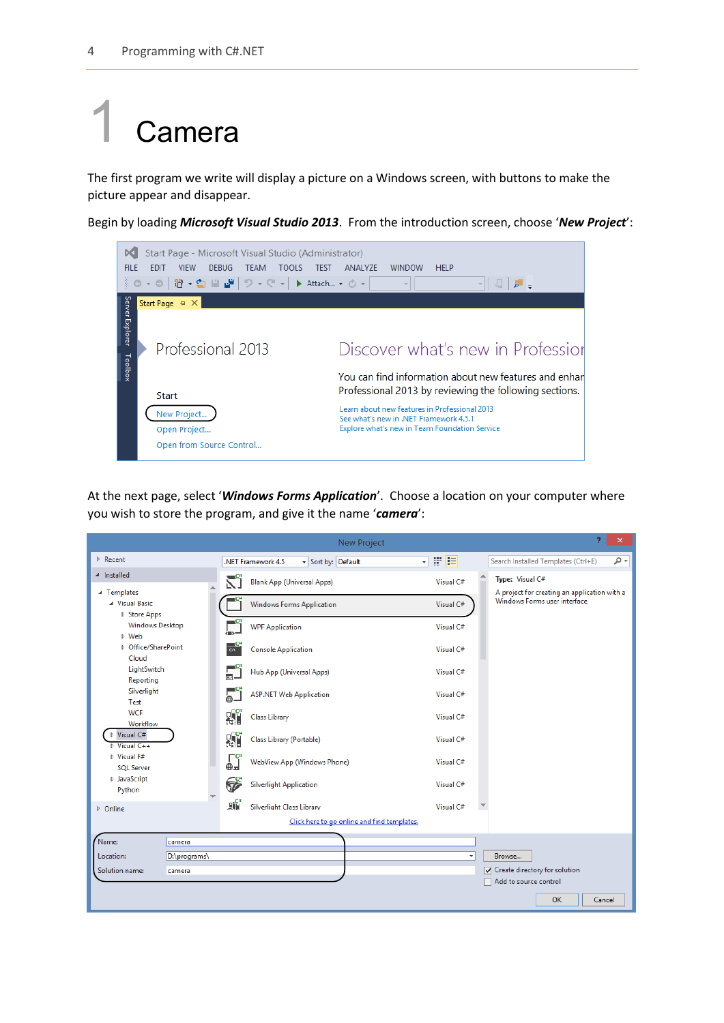## **Camera**

The first program we write will display a picture on a Windows screen, with buttons to make the picture appear and disappear.

Begin by loading *Microsoft Visual Studio 2013*. From the introduction screen, choose '*New Project*':



At the next page, select '*Windows Forms Application*'. Choose a location on your computer where you wish to store the program, and give it the name '*camera*':

|                                                 |              |                                      |                                          | New Project                                 |           | Ÿ.<br>$\pmb{\times}$                                                         |
|-------------------------------------------------|--------------|--------------------------------------|------------------------------------------|---------------------------------------------|-----------|------------------------------------------------------------------------------|
| ▷ Recent                                        |              |                                      | - Sort by: Default<br>.NET Framework 4.5 | ٠                                           | 罪目        | - م<br>Search Installed Templates (Ctrl+E)                                   |
| 4 Installed                                     |              | ۲Ĵ                                   | <b>Blank App (Universal Apps)</b>        |                                             | Visual C# | Type: Visual C#                                                              |
| ▲ Templates<br>▲ Visual Basic<br>▷ Store Apps   |              |                                      | <b>Windows Forms Application</b>         |                                             | Visual C# | A project for creating an application with a<br>Windows Forms user interface |
| <b>Windows Desktop</b><br>▷ Web                 |              | $\Box^{\rm c}$                       | <b>WPF Application</b>                   |                                             | Visual C# |                                                                              |
| ▷ Office/SharePoint<br>Cloud                    |              | $\frac{a}{b}$                        | <b>Console Application</b>               |                                             | Visual C# |                                                                              |
| LightSwitch<br>Reporting                        |              | $\overline{\mathbb{P}}^{\mathbf{c}}$ | Hub App (Universal Apps)                 |                                             | Visual C# |                                                                              |
| Silverlight<br>Test                             |              |                                      | <b>ASP.NET Web Application</b>           |                                             | Visual C# |                                                                              |
| <b>WCF</b><br>Workflow                          |              | 시                                    | <b>Class Library</b>                     |                                             | Visual C# |                                                                              |
| ▷ Visual C#<br>$\triangleright$ Visual C++      |              | 떏                                    | Class Library (Portable)                 |                                             | Visual C# |                                                                              |
| $\triangleright$ Visual F#<br><b>SOL Server</b> |              | ∏⊂"<br>⊕⊒                            | WebView App (Windows Phone)              |                                             | Visual C# |                                                                              |
| D JavaScript<br>Python                          |              | 7                                    | <b>Silverlight Application</b>           |                                             | Visual C# |                                                                              |
| D Online                                        |              | 噓                                    | Silverlight Class Library                |                                             | Visual C# |                                                                              |
|                                                 |              |                                      |                                          | Click here to go online and find templates. |           |                                                                              |
| Name:                                           | camera       |                                      |                                          |                                             |           |                                                                              |
| Location:                                       | D:\programs\ |                                      |                                          |                                             |           | Browse                                                                       |
| Solution name:                                  | camera       |                                      |                                          |                                             |           | ○ Create directory for solution<br>Add to source control                     |
|                                                 |              |                                      |                                          |                                             |           | <b>OK</b><br>Cancel                                                          |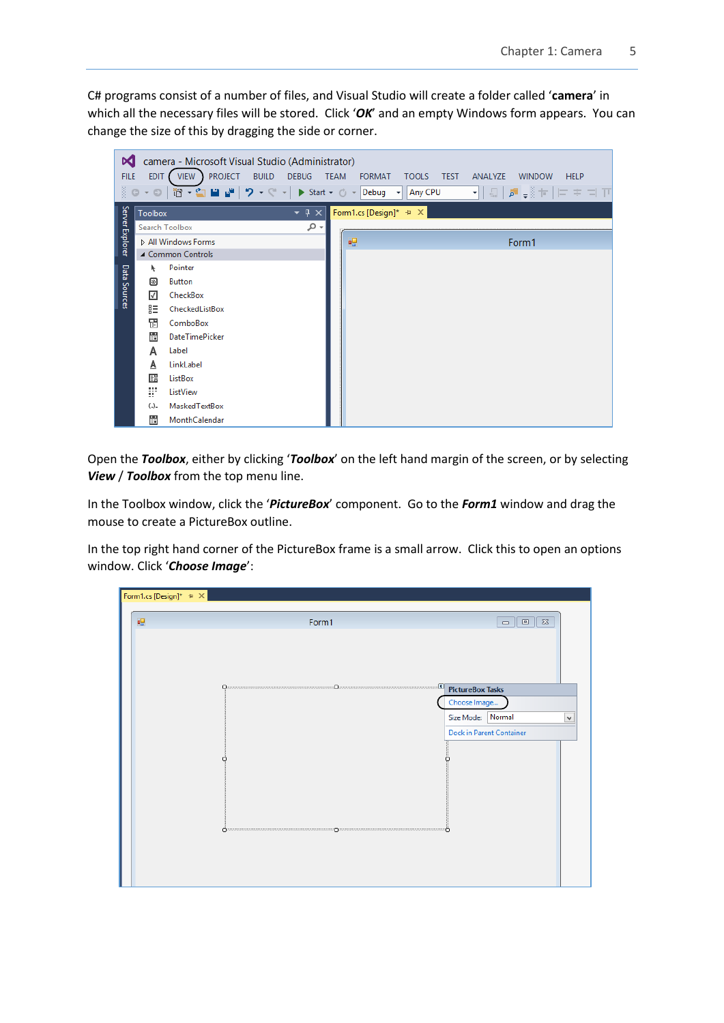C# programs consist of a number of files, and Visual Studio will create a folder called '**camera**' in which all the necessary files will be stored. Click 'OK' and an empty Windows form appears. You can change the size of this by dragging the side or corner.



Open the *Toolbox*, either by clicking '*Toolbox*' on the left hand margin of the screen, or by selecting *View* / *Toolbox* from the top menu line.

In the Toolbox window, click the '*PictureBox*' component. Go to the *Form1* window and drag the mouse to create a PictureBox outline.

In the top right hand corner of the PictureBox frame is a small arrow. Click this to open an options window. Click '*Choose Image*':

| Form1.cs [Design]* $\left. \div \right. \times \right[$ |                                                                                                                                                                                                                                                                                                                                                                                                                                        |                                               |
|---------------------------------------------------------|----------------------------------------------------------------------------------------------------------------------------------------------------------------------------------------------------------------------------------------------------------------------------------------------------------------------------------------------------------------------------------------------------------------------------------------|-----------------------------------------------|
|                                                         |                                                                                                                                                                                                                                                                                                                                                                                                                                        |                                               |
| 幔                                                       | Form1                                                                                                                                                                                                                                                                                                                                                                                                                                  | $\Sigma\!3$<br>$\Box$<br>$\qquad \qquad \Box$ |
|                                                         |                                                                                                                                                                                                                                                                                                                                                                                                                                        |                                               |
|                                                         | $\begin{array}{c} \textbf{O} & \textbf{O} & \textbf{O} & \textbf{O} \\ \textbf{O} & \textbf{O} & \textbf{O} & \textbf{O} & \textbf{O} \\ \textbf{O} & \textbf{O} & \textbf{O} & \textbf{O} & \textbf{O} \\ \textbf{O} & \textbf{O} & \textbf{O} & \textbf{O} & \textbf{O} \\ \textbf{O} & \textbf{O} & \textbf{O} & \textbf{O} & \textbf{O} \\ \textbf{O} & \textbf{O} & \textbf{O} & \textbf{O} & \textbf{O} & \textbf{O} \\ \textbf$ | <b>PictureBox Tasks</b>                       |
|                                                         |                                                                                                                                                                                                                                                                                                                                                                                                                                        | Choose Image                                  |
|                                                         |                                                                                                                                                                                                                                                                                                                                                                                                                                        | Normal<br>Size Mode:<br>$\checkmark$          |
|                                                         |                                                                                                                                                                                                                                                                                                                                                                                                                                        | <b>Dock in Parent Container</b>               |
|                                                         |                                                                                                                                                                                                                                                                                                                                                                                                                                        | с                                             |
|                                                         | Opannonnannannannannannannannannannannan prannonnannannannannannannannannannannan                                                                                                                                                                                                                                                                                                                                                      |                                               |
|                                                         |                                                                                                                                                                                                                                                                                                                                                                                                                                        |                                               |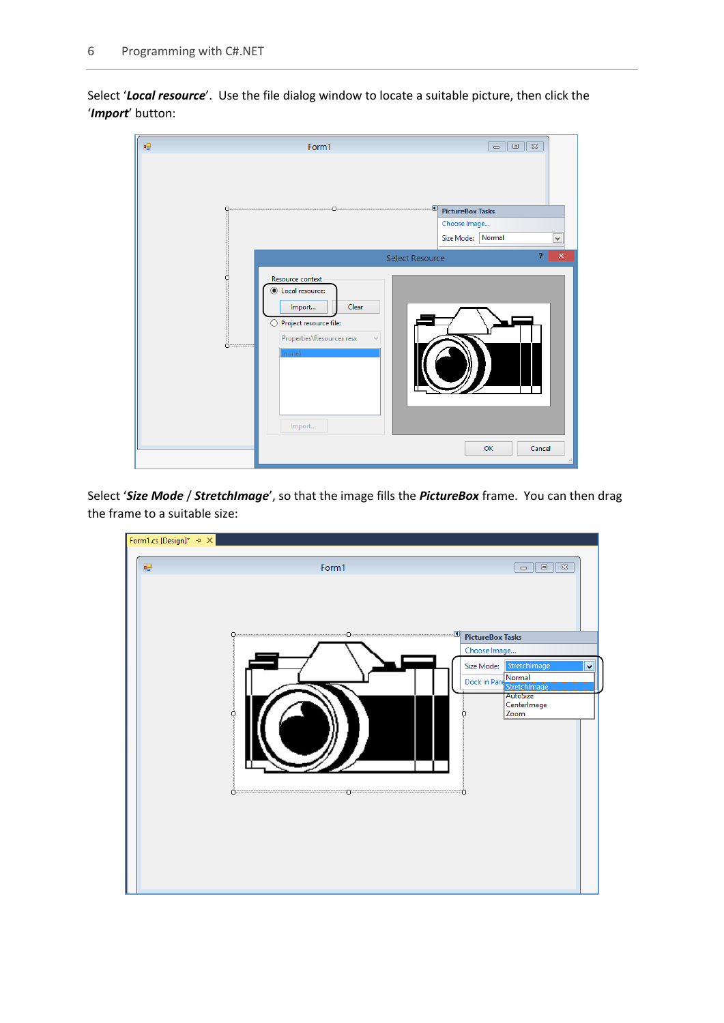Select '*Local resource*'. Use the file dialog window to locate a suitable picture, then click the '*Import*' button:

|                                   |                                                                                                                                   | $\Sigma$<br>$\Box$<br>$\qquad \qquad \Box$                                                                                     |
|-----------------------------------|-----------------------------------------------------------------------------------------------------------------------------------|--------------------------------------------------------------------------------------------------------------------------------|
|                                   |                                                                                                                                   | <b>PictureBox Tasks</b><br>Choose Image<br>Size Mode: Normal<br>$\checkmark$<br>ġ.<br>$\pmb{\times}$<br><b>Select Resource</b> |
| $\ddot{\mathbf{O}}$ ============= | Resource context<br>Local resource:<br>Clear<br>Import<br>Project resource file:<br>Properties\Resources.resx<br>(none)<br>Import | OK<br>Cancel                                                                                                                   |

Select '*Size Mode* / *StretchImage*', so that the image fills the *PictureBox* frame. You can then drag the frame to a suitable size:

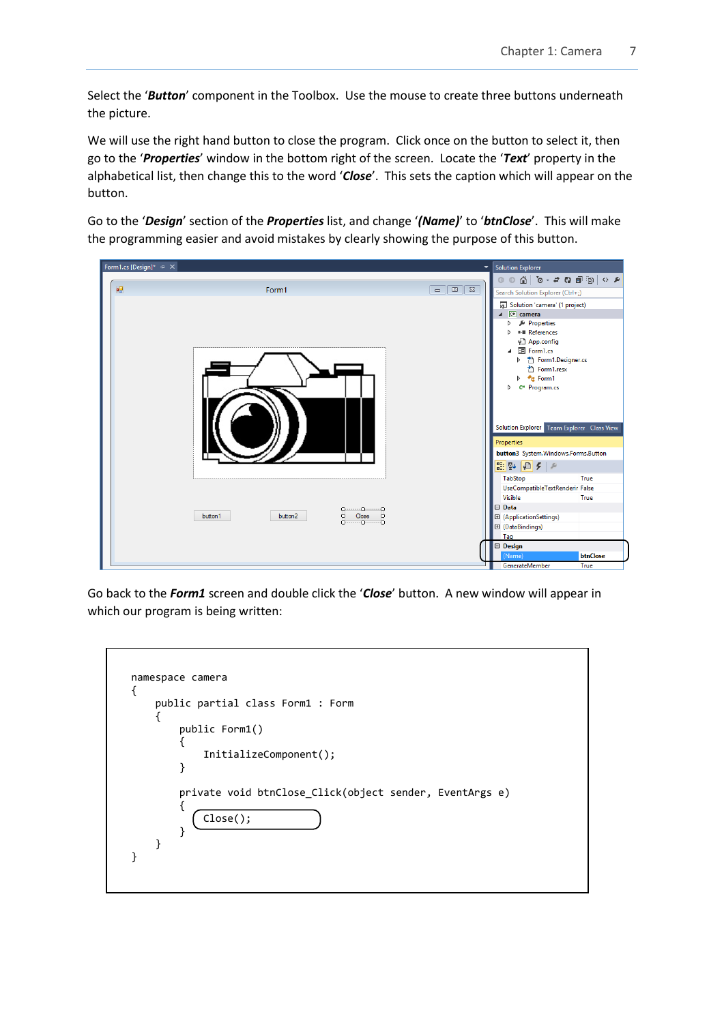Select the '*Button*' component in the Toolbox. Use the mouse to create three buttons underneath the picture.

We will use the right hand button to close the program. Click once on the button to select it, then go to the '*Properties*' window in the bottom right of the screen. Locate the '*Text*' property in the alphabetical list, then change this to the word '*Close*'. This sets the caption which will appear on the button.

Go to the '*Design*' section of the *Properties* list, and change '*(Name)*' to '*btnClose*'. This will make the programming easier and avoid mistakes by clearly showing the purpose of this button.



Go back to the *Form1* screen and double click the '*Close*' button. A new window will appear in which our program is being written:

| namespace camera                                        |
|---------------------------------------------------------|
| public partial class Form1 : Form                       |
| public Form1()                                          |
| InitializeComponent();                                  |
| private void btnClose_Click(object sender, EventArgs e) |
| Close();                                                |
|                                                         |
|                                                         |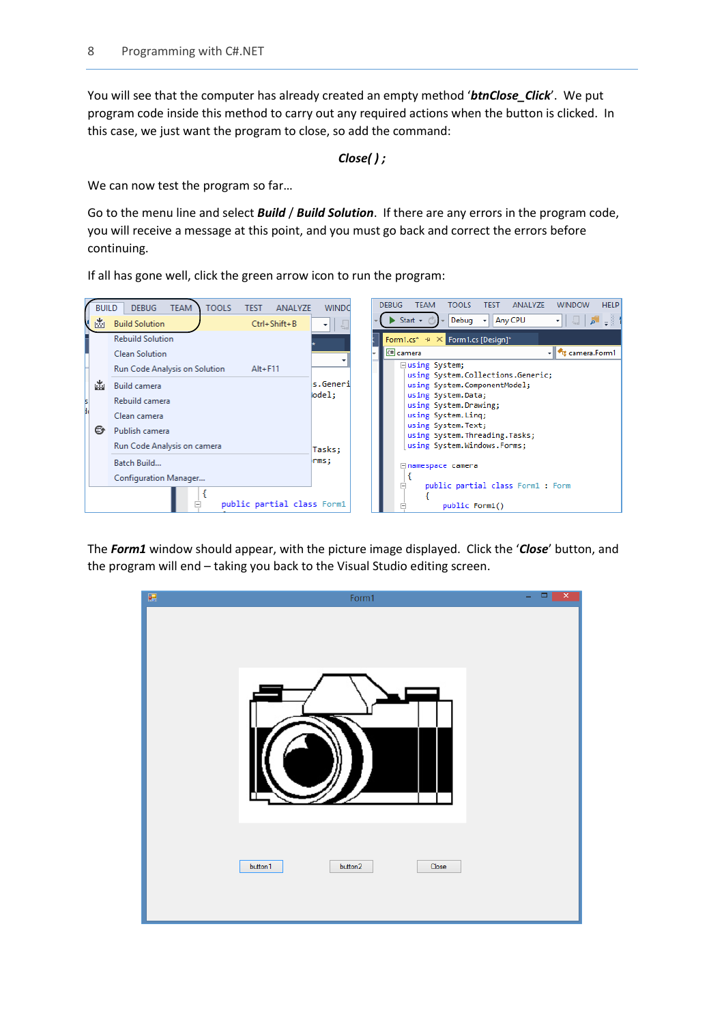You will see that the computer has already created an empty method '*btnClose\_Click*'. We put program code inside this method to carry out any required actions when the button is clicked. In this case, we just want the program to close, so add the command:

*Close( ) ;*

We can now test the program so far...

Go to the menu line and select *Build* / *Build Solution*. If there are any errors in the program code, you will receive a message at this point, and you must go back and correct the errors before continuing.

If all has gone well, click the green arrow icon to run the program:



The *Form1* window should appear, with the picture image displayed. Click the '*Close*' button, and the program will end – taking you back to the Visual Studio editing screen.

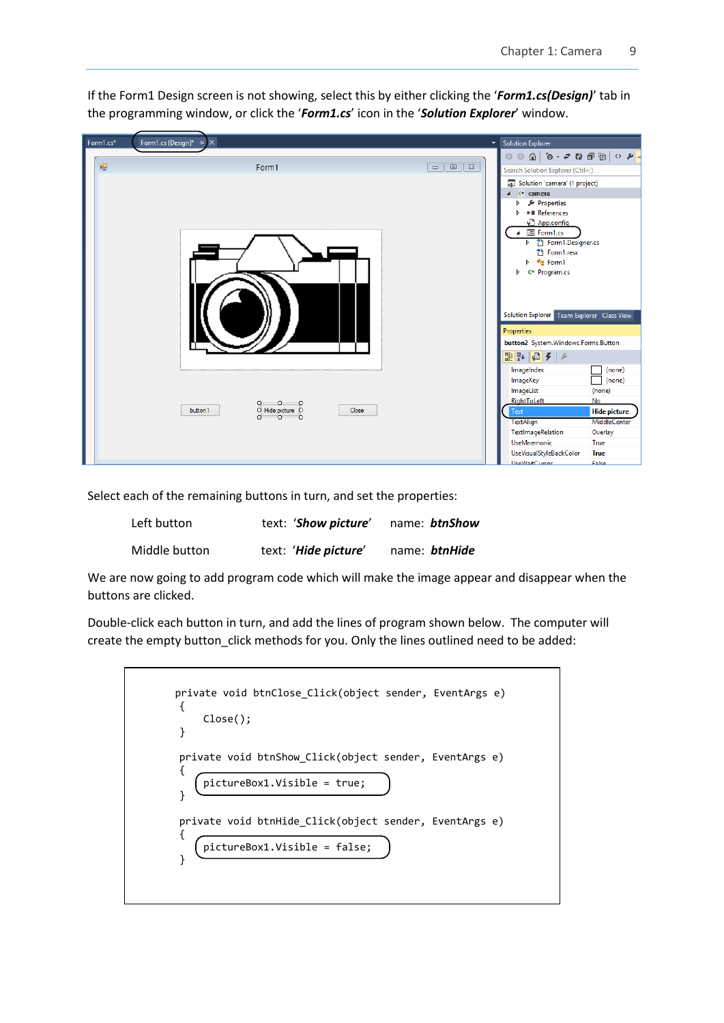

If the Form1 Design screen is not showing, select this by either clicking the '*Form1.cs(Design)*' tab in the programming window, or click the '*Form1.cs*' icon in the '*Solution Explorer*' window.

Select each of the remaining buttons in turn, and set the properties:

| Left button   | text: 'Show picture'         | name: btnShow |
|---------------|------------------------------|---------------|
| Middle button | text: ' <b>Hide picture'</b> | name: btnHide |

We are now going to add program code which will make the image appear and disappear when the buttons are clicked.

Double-click each button in turn, and add the lines of program shown below. The computer will create the empty button\_click methods for you. Only the lines outlined need to be added:

| private void btnClose Click(object sender, EventArgs e)<br>Close();                    |
|----------------------------------------------------------------------------------------|
| private void btnShow Click(object sender, EventArgs e)<br>pictureBox1.Visible = true;  |
| private void btnHide Click(object sender, EventArgs e)<br>pictureBox1.Visible = false; |